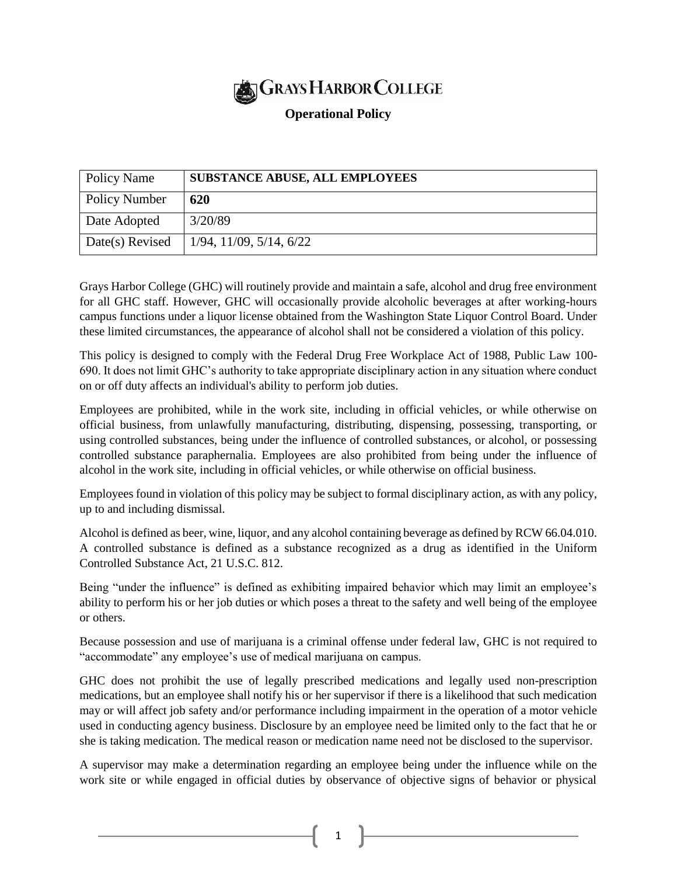

## **Operational Policy**

| Policy Name     | <b>SUBSTANCE ABUSE, ALL EMPLOYEES</b> |
|-----------------|---------------------------------------|
| Policy Number   | 620                                   |
| Date Adopted    | 3/20/89                               |
| Date(s) Revised | $1/94$ , $11/09$ , $5/14$ , $6/22$    |

Grays Harbor College (GHC) will routinely provide and maintain a safe, alcohol and drug free environment for all GHC staff. However, GHC will occasionally provide alcoholic beverages at after working-hours campus functions under a liquor license obtained from the Washington State Liquor Control Board. Under these limited circumstances, the appearance of alcohol shall not be considered a violation of this policy.

This policy is designed to comply with the Federal Drug Free Workplace Act of 1988, Public Law 100- 690. It does not limit GHC's authority to take appropriate disciplinary action in any situation where conduct on or off duty affects an individual's ability to perform job duties.

Employees are prohibited, while in the work site, including in official vehicles, or while otherwise on official business, from unlawfully manufacturing, distributing, dispensing, possessing, transporting, or using controlled substances, being under the influence of controlled substances, or alcohol, or possessing controlled substance paraphernalia. Employees are also prohibited from being under the influence of alcohol in the work site, including in official vehicles, or while otherwise on official business.

Employees found in violation of this policy may be subject to formal disciplinary action, as with any policy, up to and including dismissal.

Alcohol is defined as beer, wine, liquor, and any alcohol containing beverage as defined by RCW 66.04.010. A controlled substance is defined as a substance recognized as a drug as identified in the Uniform Controlled Substance Act, 21 U.S.C. 812.

Being "under the influence" is defined as exhibiting impaired behavior which may limit an employee's ability to perform his or her job duties or which poses a threat to the safety and well being of the employee or others.

Because possession and use of marijuana is a criminal offense under federal law, GHC is not required to "accommodate" any employee's use of medical marijuana on campus.

GHC does not prohibit the use of legally prescribed medications and legally used non-prescription medications, but an employee shall notify his or her supervisor if there is a likelihood that such medication may or will affect job safety and/or performance including impairment in the operation of a motor vehicle used in conducting agency business. Disclosure by an employee need be limited only to the fact that he or she is taking medication. The medical reason or medication name need not be disclosed to the supervisor.

A supervisor may make a determination regarding an employee being under the influence while on the work site or while engaged in official duties by observance of objective signs of behavior or physical

1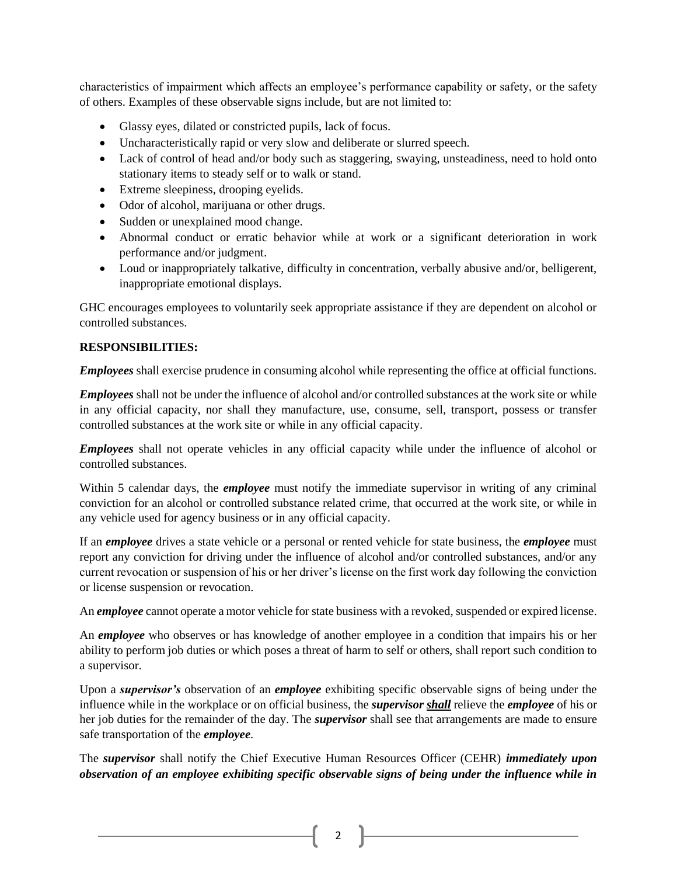characteristics of impairment which affects an employee's performance capability or safety, or the safety of others. Examples of these observable signs include, but are not limited to:

- Glassy eyes, dilated or constricted pupils, lack of focus.
- Uncharacteristically rapid or very slow and deliberate or slurred speech.
- Lack of control of head and/or body such as staggering, swaying, unsteadiness, need to hold onto stationary items to steady self or to walk or stand.
- Extreme sleepiness, drooping eyelids.
- Odor of alcohol, marijuana or other drugs.
- Sudden or unexplained mood change.
- Abnormal conduct or erratic behavior while at work or a significant deterioration in work performance and/or judgment.
- Loud or inappropriately talkative, difficulty in concentration, verbally abusive and/or, belligerent, inappropriate emotional displays.

GHC encourages employees to voluntarily seek appropriate assistance if they are dependent on alcohol or controlled substances.

## **RESPONSIBILITIES:**

*Employees* shall exercise prudence in consuming alcohol while representing the office at official functions.

*Employees* shall not be under the influence of alcohol and/or controlled substances at the work site or while in any official capacity, nor shall they manufacture, use, consume, sell, transport, possess or transfer controlled substances at the work site or while in any official capacity.

*Employees* shall not operate vehicles in any official capacity while under the influence of alcohol or controlled substances.

Within 5 calendar days, the *employee* must notify the immediate supervisor in writing of any criminal conviction for an alcohol or controlled substance related crime, that occurred at the work site, or while in any vehicle used for agency business or in any official capacity.

If an *employee* drives a state vehicle or a personal or rented vehicle for state business, the *employee* must report any conviction for driving under the influence of alcohol and/or controlled substances, and/or any current revocation or suspension of his or her driver's license on the first work day following the conviction or license suspension or revocation.

An *employee* cannot operate a motor vehicle for state business with a revoked, suspended or expired license.

An *employee* who observes or has knowledge of another employee in a condition that impairs his or her ability to perform job duties or which poses a threat of harm to self or others, shall report such condition to a supervisor.

Upon a *supervisor's* observation of an *employee* exhibiting specific observable signs of being under the influence while in the workplace or on official business, the *supervisor shall* relieve the *employee* of his or her job duties for the remainder of the day. The *supervisor* shall see that arrangements are made to ensure safe transportation of the *employee*.

The *supervisor* shall notify the Chief Executive Human Resources Officer (CEHR) *immediately upon observation of an employee exhibiting specific observable signs of being under the influence while in* 

2  $\uparrow$